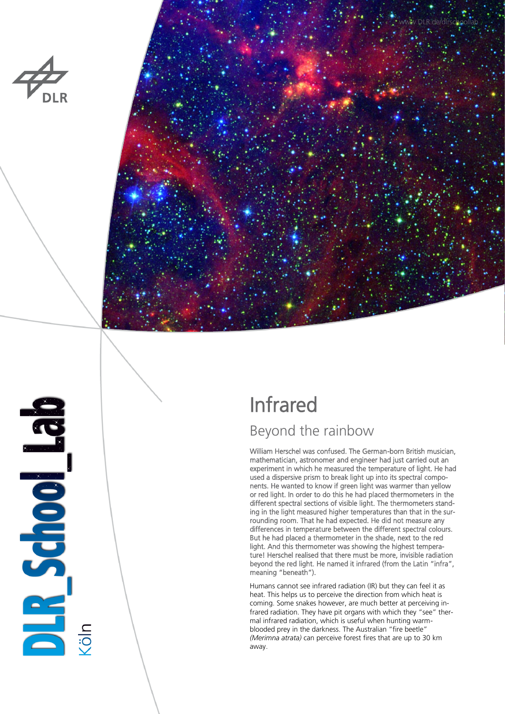



**BAR School Bar** 

# Infrared

## Beyond the rainbow

William Herschel was confused. The German-born British musician, mathematician, astronomer and engineer had just carried out an experiment in which he measured the temperature of light. He had used a dispersive prism to break light up into its spectral components. He wanted to know if green light was warmer than yellow or red light. In order to do this he had placed thermometers in the different spectral sections of visible light. The thermometers standing in the light measured higher temperatures than that in the surrounding room. That he had expected. He did not measure any differences in temperature between the different spectral colours. But he had placed a thermometer in the shade, next to the red light. And this thermometer was showing the highest temperature! Herschel realised that there must be more, invisible radiation beyond the red light. He named it infrared (from the Latin "infra", meaning "beneath").

Humans cannot see infrared radiation (IR) but they can feel it as heat. This helps us to perceive the direction from which heat is coming. Some snakes however, are much better at perceiving infrared radiation. They have pit organs with which they "see" thermal infrared radiation, which is useful when hunting warmblooded prey in the darkness. The Australian "fire beetle" *(Merimna atrata)* can perceive forest fires that are up to 30 km away.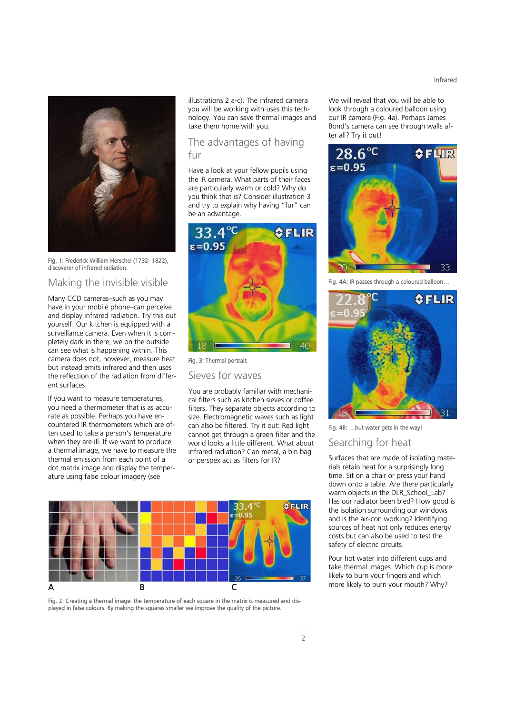Fig. 1: Frederick William Herschel (1732- 1822), discoverer of infrared radiation.

#### Making the invisible visible

Many CCD cameras–such as you may have in your mobile phone–can perceive and display infrared radiation. Try this out yourself: Our kitchen is equipped with a surveillance camera. Even when it is completely dark in there, we on the outside can see what is happening within. This camera does not, however, measure heat but instead emits infrared and then uses the reflection of the radiation from different surfaces.

If you want to measure temperatures, you need a thermometer that is as accurate as possible. Perhaps you have encountered IR thermometers which are often used to take a person's temperature when they are ill. If we want to produce a thermal image, we have to measure the thermal emission from each point of a dot matrix image and display the temperature using false colour imagery (see

illustrations 2 a-c). The infrared camera you will be working with uses this technology. You can save thermal images and take them home with you.

#### The advantages of having fur

Have a look at your fellow pupils using the IR camera. What parts of their faces are particularly warm or cold? Why do you think that is? Consider illustration 3 and try to explain why having "fur" can be an advantage.



Fig. 3: Thermal portrait

Sieves for waves

You are probably familiar with mechanical filters such as kitchen sieves or coffee filters. They separate objects according to size. Electromagnetic waves such as light can also be filtered. Try it out: Red light cannot get through a green filter and the world looks a little different. What about infrared radiation? Can metal, a bin bag or perspex act as filters for IR?



Fig. 2: Creating a thermal image: the temperature of each square in the matrix is measured and displayed in false colours. By making the squares smaller we improve the quality of the picture.

We will reveal that you will be able to look through a coloured balloon using our IR camera (Fig. 4a). Perhaps James Bond's camera can see through walls after all? Try it out!



AA: IR passes through a coloured balloon...



Fig. 4B: …but water gets in the way!

### Searching for heat

Surfaces that are made of isolating materials retain heat for a surprisingly long time. Sit on a chair or press your hand down onto a table. Are there particularly warm objects in the DLR\_School\_Lab? Has our radiator been bled? How good is the isolation surrounding our windows and is the air-con working? Identifying sources of heat not only reduces energy costs but can also be used to test the safety of electric circuits.

Pour hot water into different cups and take thermal images. Which cup is more likely to burn your fingers and which

#### Infrared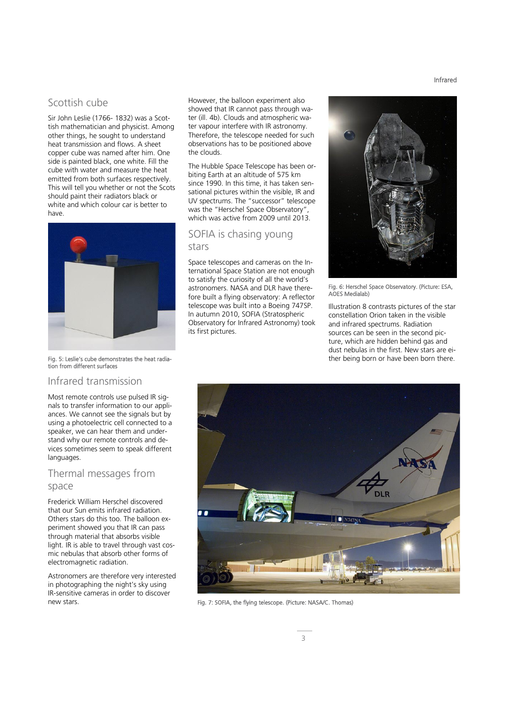#### Scottish cube

Sir John Leslie (1766- 1832) was a Scottish mathematician and physicist. Among other things, he sought to understand heat transmission and flows. A sheet copper cube was named after him. One side is painted black, one white. Fill the cube with water and measure the heat emitted from both surfaces respectively. This will tell you whether or not the Scots should paint their radiators black or white and which colour car is better to have.



Fig. 5: Leslie's cube demonstrates the heat radiation from different surfaces

#### Infrared transmission

Most remote controls use pulsed IR signals to transfer information to our appliances. We cannot see the signals but by using a photoelectric cell connected to a speaker, we can hear them and understand why our remote controls and devices sometimes seem to speak different languages.

#### Thermal messages from space

Frederick William Herschel discovered that our Sun emits infrared radiation. Others stars do this too. The balloon experiment showed you that IR can pass through material that absorbs visible light. IR is able to travel through vast cosmic nebulas that absorb other forms of electromagnetic radiation.

Astronomers are therefore very interested in photographing the night's sky using IR-sensitive cameras in order to discover new stars.

However, the balloon experiment also showed that IR cannot pass through water (ill. 4b). Clouds and atmospheric water vapour interfere with IR astronomy. Therefore, the telescope needed for such observations has to be positioned above the clouds.

The Hubble Space Telescope has been orbiting Earth at an altitude of 575 km since 1990. In this time, it has taken sensational pictures within the visible, IR and UV spectrums. The "successor" telescope was the "Herschel Space Observatory", which was active from 2009 until 2013.

#### SOFIA is chasing young stars

Space telescopes and cameras on the International Space Station are not enough to satisfy the curiosity of all the world's astronomers. NASA and DLR have therefore built a flying observatory: A reflector telescope was built into a Boeing 747SP. In autumn 2010, SOFIA (Stratospheric Observatory for Infrared Astronomy) took its first pictures.



Fig. 6: Herschel Space Observatory. (Picture: ESA, AOES Medialab)

Illustration 8 contrasts pictures of the star constellation Orion taken in the visible and infrared spectrums. Radiation sources can be seen in the second picture, which are hidden behind gas and dust nebulas in the first. New stars are either being born or have been born there.



Fig. 7: SOFIA, the flying telescope. (Picture: NASA/C. Thomas)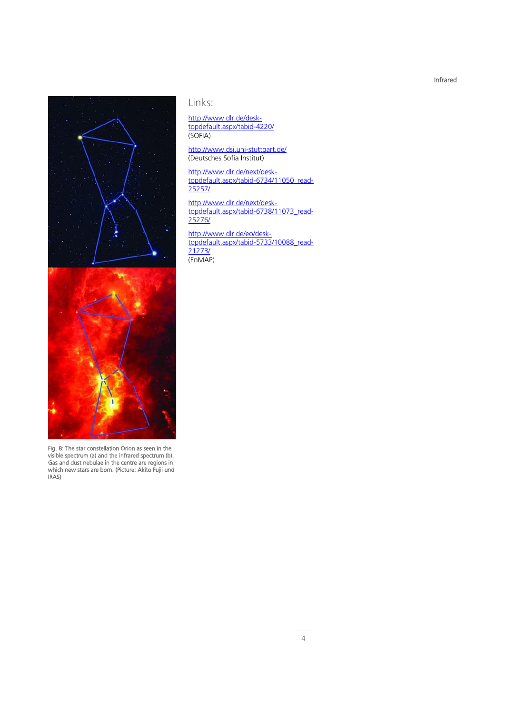Infrared



Fig. 8: The star constellation Orion as seen in the visible spectrum (a) and the infrared spectrum (b). Gas and dust nebulae in the centre are regions in which new stars are born. (Picture: Akito Fujii und IRAS)

### Links:

#### [http://www.dlr.de/desk](http://www.dlr.de/desktopdefault.aspx/tabid-4220/)[topdefault.aspx/tabid-4220/](http://www.dlr.de/desktopdefault.aspx/tabid-4220/) (SOFIA)

#### <http://www.dsi.uni-stuttgart.de/> (Deutsches Sofia Institut)

[http://www.dlr.de/next/desk](http://www.dlr.de/next/desktopdefault.aspx/tabid-6734/11050_read-25257/)[topdefault.aspx/tabid-6734/11050\\_read-](http://www.dlr.de/next/desktopdefault.aspx/tabid-6734/11050_read-25257/)[25257/](http://www.dlr.de/next/desktopdefault.aspx/tabid-6734/11050_read-25257/)

[http://www.dlr.de/next/desk](http://www.dlr.de/next/desktopdefault.aspx/tabid-6738/11073_read-25276/)[topdefault.aspx/tabid-6738/11073\\_read-](http://www.dlr.de/next/desktopdefault.aspx/tabid-6738/11073_read-25276/)[25276/](http://www.dlr.de/next/desktopdefault.aspx/tabid-6738/11073_read-25276/)

[http://www.dlr.de/eo/desk](http://www.dlr.de/eo/desktopdefault.aspx/tabid-5733/10088_read-21273/)[topdefault.aspx/tabid-5733/10088\\_read-](http://www.dlr.de/eo/desktopdefault.aspx/tabid-5733/10088_read-21273/)[21273/](http://www.dlr.de/eo/desktopdefault.aspx/tabid-5733/10088_read-21273/) (EnMAP)